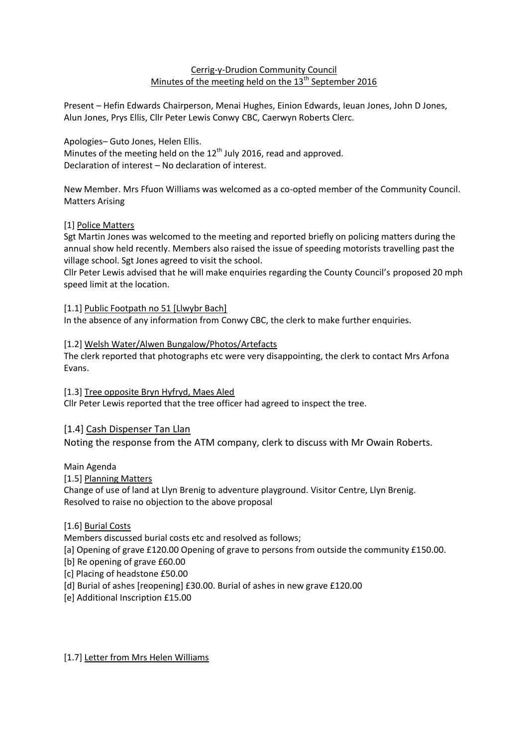## Cerrig-y-Drudion Community Council Minutes of the meeting held on the  $13<sup>th</sup>$  September 2016

Present – Hefin Edwards Chairperson, Menai Hughes, Einion Edwards, Ieuan Jones, John D Jones, Alun Jones, Prys Ellis, Cllr Peter Lewis Conwy CBC, Caerwyn Roberts Clerc.

Apologies– Guto Jones, Helen Ellis.

Minutes of the meeting held on the  $12<sup>th</sup>$  July 2016, read and approved. Declaration of interest – No declaration of interest.

New Member. Mrs Ffuon Williams was welcomed as a co-opted member of the Community Council. Matters Arising

## [1] Police Matters

Sgt Martin Jones was welcomed to the meeting and reported briefly on policing matters during the annual show held recently. Members also raised the issue of speeding motorists travelling past the village school. Sgt Jones agreed to visit the school.

Cllr Peter Lewis advised that he will make enquiries regarding the County Council's proposed 20 mph speed limit at the location.

## [1.1] Public Footpath no 51 [Llwybr Bach]

In the absence of any information from Conwy CBC, the clerk to make further enquiries.

## [1.2] Welsh Water/Alwen Bungalow/Photos/Artefacts

The clerk reported that photographs etc were very disappointing, the clerk to contact Mrs Arfona Evans.

#### [1.3] Tree opposite Bryn Hyfryd, Maes Aled

Cllr Peter Lewis reported that the tree officer had agreed to inspect the tree.

# [1.4] Cash Dispenser Tan Llan

Noting the response from the ATM company, clerk to discuss with Mr Owain Roberts.

#### Main Agenda

[1.5] Planning Matters

Change of use of land at Llyn Brenig to adventure playground. Visitor Centre, Llyn Brenig. Resolved to raise no objection to the above proposal

#### [1.6] Burial Costs

Members discussed burial costs etc and resolved as follows;

[a] Opening of grave £120.00 Opening of grave to persons from outside the community £150.00.

[b] Re opening of grave £60.00

[c] Placing of headstone £50.00

[d] Burial of ashes [reopening] £30.00. Burial of ashes in new grave £120.00

[e] Additional Inscription £15.00

# [1.7] Letter from Mrs Helen Williams